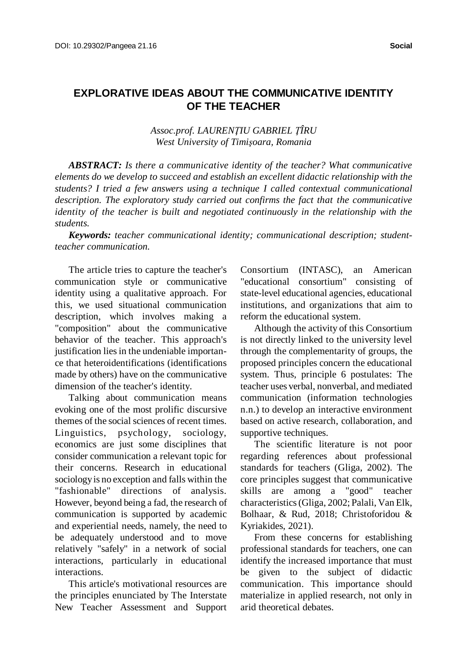# **EXPLORATIVE IDEAS ABOUT THE COMMUNICATIVE IDENTITY OF THE TEACHER**

*Assoc.prof. LAURENŢIU GABRIEL ŢÎRU West University of Timişoara, Romania*

*ABSTRACT: Is there a communicative identity of the teacher? What communicative elements do we develop to succeed and establish an excellent didactic relationship with the students? I tried a few answers using a technique I called contextual communicational description. The exploratory study carried out confirms the fact that the communicative identity of the teacher is built and negotiated continuously in the relationship with the students.*

*Keywords: teacher communicational identity; communicational description; studentteacher communication.*

The article tries to capture the teacher's communication style or communicative identity using a qualitative approach. For this, we used situational communication description, which involves making a "composition" about the communicative behavior of the teacher. This approach's justification lies in the undeniable importance that heteroidentifications (identifications made by others) have on the communicative dimension of the teacher's identity.

Talking about communication means evoking one of the most prolific discursive themes of the social sciences of recent times. Linguistics, psychology, sociology, economics are just some disciplines that consider communication a relevant topic for their concerns. Research in educational sociologyis no exception and falls within the "fashionable" directions of analysis. However, beyond being a fad, the research of communication is supported by academic and experiential needs, namely, the need to be adequately understood and to move relatively "safely" in a network of social interactions, particularly in educational interactions.

This article's motivational resources are the principles enunciated by The Interstate New Teacher Assessment and Support Consortium (INTASC), an American "educational consortium" consisting of state-level educational agencies, educational institutions, and organizations that aim to reform the educational system.

Although the activity of this Consortium is not directly linked to the university level through the complementarity of groups, the proposed principles concern the educational system. Thus, principle 6 postulates: The teacher uses verbal, nonverbal, and mediated communication (information technologies n.n.) to develop an interactive environment based on active research, collaboration, and supportive techniques.

The scientific literature is not poor regarding references about professional standards for teachers (Gliga, 2002). The core principles suggest that communicative skills are among a "good" teacher characteristics(Gliga, 2002; Palali, Van Elk, Bolhaar, & Rud, 2018; Christoforidou & Kyriakides, 2021).

From these concerns for establishing professional standards for teachers, one can identify the increased importance that must be given to the subject of didactic communication. This importance should materialize in applied research, not only in arid theoretical debates.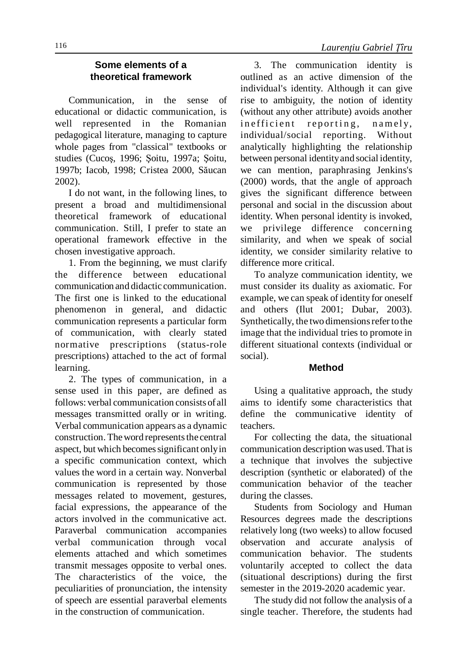## **Some elements of a theoretical framework**

Communication, in the sense of educational or didactic communication, is well represented in the Romanian pedagogical literature, managing to capture whole pages from "classical" textbooks or studies (Cucoş, 1996; Şoitu, 1997a; Şoitu, 1997b; Iacob, 1998; Cristea 2000, Săucan 2002).

I do not want, in the following lines, to present a broad and multidimensional theoretical framework of educational communication. Still, I prefer to state an operational framework effective in the chosen investigative approach.

1. From the beginning, we must clarify the difference between educational communication and didactic communication. The first one is linked to the educational phenomenon in general, and didactic communication represents a particular form of communication, with clearly stated normative prescriptions (status-role prescriptions) attached to the act of formal learning.

2. The types of communication, in a sense used in this paper, are defined as follows: verbal communication consists of all messages transmitted orally or in writing. Verbal communication appears as a dynamic construction. The word represents the central aspect, but which becomes significant only in a specific communication context, which values the word in a certain way. Nonverbal communication is represented by those messages related to movement, gestures, facial expressions, the appearance of the actors involved in the communicative act. Paraverbal communication accompanies verbal communication through vocal elements attached and which sometimes transmit messages opposite to verbal ones. The characteristics of the voice, the peculiarities of pronunciation, the intensity of speech are essential paraverbal elements in the construction of communication.

3. The communication identity is outlined as an active dimension of the individual's identity. Although it can give rise to ambiguity, the notion of identity (without any other attribute) avoids another in efficient reporting, namely, individual/social reporting. Without analytically highlighting the relationship between personal identityand social identity, we can mention, paraphrasing Jenkins's (2000) words, that the angle of approach gives the significant difference between personal and social in the discussion about identity. When personal identity is invoked, we privilege difference concerning similarity, and when we speak of social identity, we consider similarity relative to difference more critical.

To analyze communication identity, we must consider its duality as axiomatic. For example, we can speak of identity for oneself and others (Ilut 2001; Dubar, 2003). Synthetically, the two dimensions refer to the image that the individual tries to promote in different situational contexts (individual or social).

#### **Method**

Using a qualitative approach, the study aims to identify some characteristics that define the communicative identity of teachers.

For collecting the data, the situational communication description was used. That is a technique that involves the subjective description (synthetic or elaborated) of the communication behavior of the teacher during the classes.

Students from Sociology and Human Resources degrees made the descriptions relatively long (two weeks) to allow focused observation and accurate analysis of communication behavior. The students voluntarily accepted to collect the data (situational descriptions) during the first semester in the 2019-2020 academic year.

The study did not follow the analysis of a single teacher. Therefore, the students had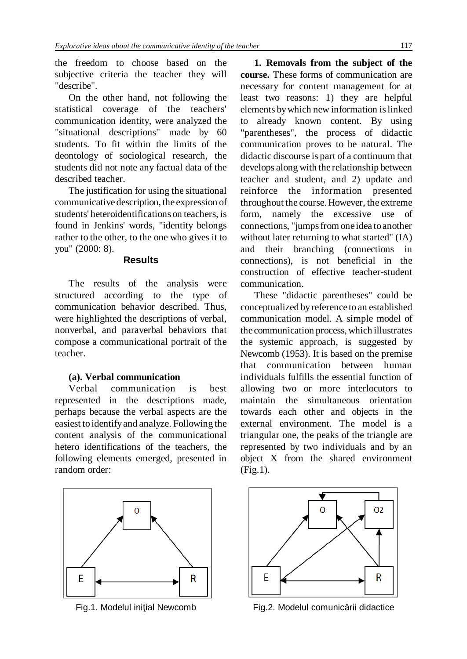the freedom to choose based on the subjective criteria the teacher they will "describe".

On the other hand, not following the statistical coverage of the teachers' communication identity, were analyzed the "situational descriptions" made by 60 students. To fit within the limits of the deontology of sociological research, the students did not note any factual data of the described teacher.

The justification for using the situational communicative description, the expression of students' heteroidentifications on teachers, is found in Jenkins' words, "identity belongs rather to the other, to the one who gives it to you" (2000: 8).

#### **Results**

The results of the analysis were structured according to the type of communication behavior described. Thus, were highlighted the descriptions of verbal, nonverbal, and paraverbal behaviors that compose a communicational portrait of the teacher.

## **(a). Verbal communication**

Verbal communication is best represented in the descriptions made, perhaps because the verbal aspects are the easiest to identifyand analyze. Following the content analysis of the communicational hetero identifications of the teachers, the following elements emerged, presented in random order:



**1. Removals from the subject of the course.** These forms of communication are necessary for content management for at least two reasons: 1) they are helpful elements bywhich new information islinked to already known content. By using "parentheses", the process of didactic communication proves to be natural. The didactic discourse is part of a continuum that develops along with the relationship between teacher and student, and 2) update and reinforce the information presented throughout the course. However, the extreme form, namely the excessive use of connections, "jumps from one idea to another without later returning to what started" (IA) and their branching (connections in connections), is not beneficial in the construction of effective teacher-student communication.

These "didactic parentheses" could be conceptualized byreference to an established communication model. A simple model of the communication process, which illustrates the systemic approach, is suggested by Newcomb (1953). It is based on the premise that communication between human individuals fulfills the essential function of allowing two or more interlocutors to maintain the simultaneous orientation towards each other and objects in the external environment. The model is a triangular one, the peaks of the triangle are represented by two individuals and by an object X from the shared environment (Fig.1).



Fig.1. Modelul iniţial Newcomb Fig.2. Modelul comunicării didactice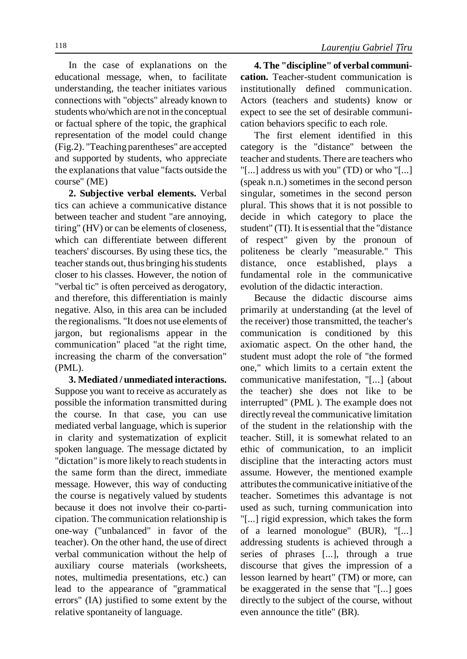In the case of explanations on the educational message, when, to facilitate understanding, the teacher initiates various connections with "objects" already known to students who/which are not in the conceptual or factual sphere of the topic, the graphical representation of the model could change (Fig.2). "Teaching parentheses" are accepted and supported by students, who appreciate the explanations that value "facts outside the course" (ME)

**2. Subjective verbal elements.** Verbal tics can achieve a communicative distance between teacher and student "are annoying, tiring" (HV) or can be elements of closeness, which can differentiate between different teachers' discourses. By using these tics, the teacher stands out, thus bringing his students closer to his classes. However, the notion of "verbal tic" is often perceived as derogatory, and therefore, this differentiation is mainly negative. Also, in this area can be included the regionalisms. "It does not use elements of jargon, but regionalisms appear in the communication" placed "at the right time, increasing the charm of the conversation" (PML).

**3. Mediated / unmediated interactions.** Suppose you want to receive as accurately as possible the information transmitted during the course. In that case, you can use mediated verbal language, which is superior in clarity and systematization of explicit spoken language. The message dictated by "dictation" is more likely to reach students in the same form than the direct, immediate message. However, this way of conducting the course is negatively valued by students because it does not involve their co-participation. The communication relationship is one-way ("unbalanced" in favor of the teacher). On the other hand, the use of direct verbal communication without the help of auxiliary course materials (worksheets, notes, multimedia presentations, etc.) can lead to the appearance of "grammatical errors" (IA) justified to some extent by the relative spontaneity of language.

**4. The "discipline" of verbal communication.** Teacher-student communication is institutionally defined communication. Actors (teachers and students) know or expect to see the set of desirable communication behaviors specific to each role.

The first element identified in this category is the "distance" between the teacher and students. There are teachers who "[...] address us with you" (TD) or who "[...] (speak n.n.) sometimes in the second person singular, sometimes in the second person plural. This shows that it is not possible to decide in which category to place the student" (TI). It is essential that the "distance of respect" given by the pronoun of politeness be clearly "measurable." This distance, once established, plays a fundamental role in the communicative evolution of the didactic interaction.

Because the didactic discourse aims primarily at understanding (at the level of the receiver) those transmitted, the teacher's communication is conditioned by this axiomatic aspect. On the other hand, the student must adopt the role of "the formed one," which limits to a certain extent the communicative manifestation, "[...] (about the teacher) she does not like to be interrupted" (PML ). The example does not directly reveal the communicative limitation of the student in the relationship with the teacher. Still, it is somewhat related to an ethic of communication, to an implicit discipline that the interacting actors must assume. However, the mentioned example attributes the communicative initiative of the teacher. Sometimes this advantage is not used as such, turning communication into "[...] rigid expression, which takes the form of a learned monologue" (BUR), "[...] addressing students is achieved through a series of phrases [...], through a true discourse that gives the impression of a lesson learned by heart" (TM) or more, can be exaggerated in the sense that "[...] goes directly to the subject of the course, without even announce the title" (BR).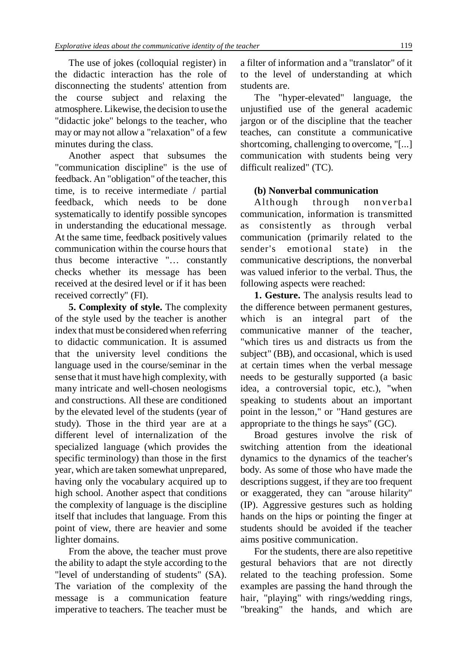The use of jokes (colloquial register) in the didactic interaction has the role of disconnecting the students' attention from the course subject and relaxing the atmosphere. Likewise, the decision to use the "didactic joke" belongs to the teacher, who may or may not allow a "relaxation" of a few minutes during the class.

Another aspect that subsumes the "communication discipline" is the use of feedback. An "obligation" of the teacher, this time, is to receive intermediate / partial feedback, which needs to be done systematically to identify possible syncopes in understanding the educational message. At the same time, feedback positively values communication within the course hours that thus become interactive "… constantly checks whether its message has been received at the desired level or if it has been received correctly" (FI).

**5. Complexity of style.** The complexity of the style used by the teacher is another index that must be consideredwhen referring to didactic communication. It is assumed that the university level conditions the language used in the course/seminar in the sense that it must have high complexity, with many intricate and well-chosen neologisms and constructions. All these are conditioned by the elevated level of the students (year of study). Those in the third year are at a different level of internalization of the specialized language (which provides the specific terminology) than those in the first year, which are taken somewhat unprepared, having only the vocabulary acquired up to high school. Another aspect that conditions the complexity of language is the discipline itself that includes that language. From this point of view, there are heavier and some lighter domains.

From the above, the teacher must prove the ability to adapt the style according to the "level of understanding of students" (SA). The variation of the complexity of the message is a communication feature imperative to teachers. The teacher must be

a filter of information and a "translator" of it to the level of understanding at which students are.

The "hyper-elevated" language, the unjustified use of the general academic jargon or of the discipline that the teacher teaches, can constitute a communicative shortcoming, challenging to overcome, "[...] communication with students being very difficult realized" (TC).

## **(b) Nonverbal communication**

Although through nonverbal communication, information is transmitted as consistently as through verbal communication (primarily related to the sender's emotional state) in the communicative descriptions, the nonverbal was valued inferior to the verbal. Thus, the following aspects were reached:

**1. Gesture.** The analysis results lead to the difference between permanent gestures, which is an integral part of the communicative manner of the teacher, "which tires us and distracts us from the subject" (BB), and occasional, which is used at certain times when the verbal message needs to be gesturally supported (a basic idea, a controversial topic, etc.), "when speaking to students about an important point in the lesson," or "Hand gestures are appropriate to the things he says" (GC).

Broad gestures involve the risk of switching attention from the ideational dynamics to the dynamics of the teacher's body. As some of those who have made the descriptions suggest, if they are too frequent or exaggerated, they can "arouse hilarity" (IP). Aggressive gestures such as holding hands on the hips or pointing the finger at students should be avoided if the teacher aims positive communication.

For the students, there are also repetitive gestural behaviors that are not directly related to the teaching profession. Some examples are passing the hand through the hair, "playing" with rings/wedding rings, "breaking" the hands, and which are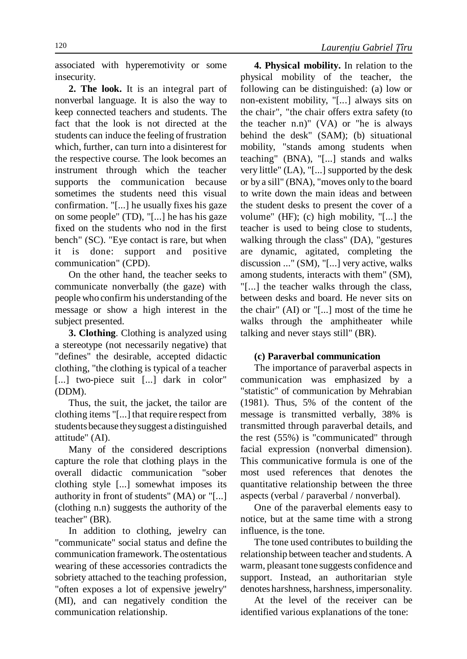associated with hyperemotivity or some insecurity.

**2. The look.** It is an integral part of nonverbal language. It is also the way to keep connected teachers and students. The fact that the look is not directed at the students can induce the feeling of frustration which, further, can turn into a disinterest for the respective course. The look becomes an instrument through which the teacher supports the communication because sometimes the students need this visual confirmation. "[...] he usually fixes his gaze on some people" (TD), "[...] he has his gaze fixed on the students who nod in the first bench" (SC). "Eye contact is rare, but when it is done: support and positive communication" (CPD).

On the other hand, the teacher seeks to communicate nonverbally (the gaze) with people who confirm his understanding of the message or show a high interest in the subject presented.

**3. Clothing**. Clothing is analyzed using a stereotype (not necessarily negative) that "defines" the desirable, accepted didactic clothing, "the clothing is typical of a teacher [...] two-piece suit [...] dark in color" (DDM).

Thus, the suit, the jacket, the tailor are clothing items "[...] that require respect from students because theysuggest a distinguished attitude" (AI).

Many of the considered descriptions capture the role that clothing plays in the overall didactic communication "sober clothing style [...] somewhat imposes its authority in front of students" (MA) or "[...] (clothing n.n) suggests the authority of the teacher" (BR).

In addition to clothing, jewelry can "communicate" social status and define the communication framework. The ostentatious wearing of these accessories contradicts the sobriety attached to the teaching profession, "often exposes a lot of expensive jewelry" (MI), and can negatively condition the communication relationship.

**4. Physical mobility.** In relation to the physical mobility of the teacher, the following can be distinguished: (a) low or non-existent mobility, "[...] always sits on the chair", "the chair offers extra safety (to the teacher n.n)" (VA) or "he is always behind the desk" (SAM); (b) situational mobility, "stands among students when teaching" (BNA), "[...] stands and walks very little" (LA), "[...] supported by the desk or by a sill" (BNA), "moves only to the board to write down the main ideas and between the student desks to present the cover of a volume" (HF); (c) high mobility, "[...] the teacher is used to being close to students, walking through the class" (DA), "gestures are dynamic, agitated, completing the discussion ..." (SM), "[...] very active, walks among students, interacts with them" (SM), "[...] the teacher walks through the class, between desks and board. He never sits on the chair" (AI) or "[...] most of the time he walks through the amphitheater while talking and never stays still" (BR).

#### **(c) Paraverbal communication**

The importance of paraverbal aspects in communication was emphasized by a "statistic" of communication by Mehrabian (1981). Thus, 5% of the content of the message is transmitted verbally, 38% is transmitted through paraverbal details, and the rest (55%) is "communicated" through facial expression (nonverbal dimension). This communicative formula is one of the most used references that denotes the quantitative relationship between the three aspects (verbal / paraverbal / nonverbal).

One of the paraverbal elements easy to notice, but at the same time with a strong influence, is the tone.

The tone used contributes to building the relationship between teacher and students. A warm, pleasant tone suggests confidence and support. Instead, an authoritarian style denotes harshness, harshness, impersonality.

At the level of the receiver can be identified various explanations of the tone: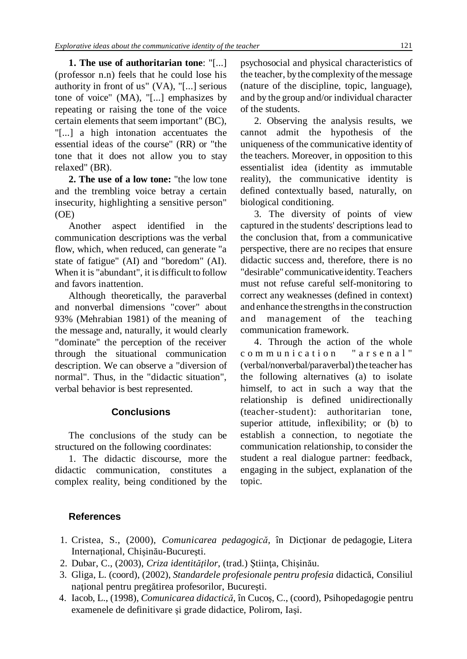**1. The use of authoritarian tone**: "[...] (professor n.n) feels that he could lose his authority in front of us" (VA), "[...] serious tone of voice" (MA), "[...] emphasizes by repeating or raising the tone of the voice certain elements that seem important" (BC), "[...] a high intonation accentuates the essential ideas of the course" (RR) or "the tone that it does not allow you to stay relaxed" (BR).

**2. The use of a low tone:** "the low tone and the trembling voice betray a certain insecurity, highlighting a sensitive person" (OE)

Another aspect identified in the communication descriptions was the verbal flow, which, when reduced, can generate "a state of fatigue" (AI) and "boredom" (AI). When it is "abundant", it is difficult to follow and favors inattention.

Although theoretically, the paraverbal and nonverbal dimensions "cover" about 93% (Mehrabian 1981) of the meaning of the message and, naturally, it would clearly "dominate" the perception of the receiver through the situational communication description. We can observe a "diversion of normal". Thus, in the "didactic situation", verbal behavior is best represented.

# **Conclusions**

The conclusions of the study can be structured on the following coordinates:

1. The didactic discourse, more the didactic communication, constitutes a complex reality, being conditioned by the psychosocial and physical characteristics of the teacher, by the complexity of the message (nature of the discipline, topic, language), and by the group and/or individual character of the students.

2. Observing the analysis results, we cannot admit the hypothesis of the uniqueness of the communicative identity of the teachers. Moreover, in opposition to this essentialist idea (identity as immutable reality), the communicative identity is defined contextually based, naturally, on biological conditioning.

3. The diversity of points of view captured in the students' descriptions lead to the conclusion that, from a communicative perspective, there are no recipes that ensure didactic success and, therefore, there is no "desirable" communicative identity. Teachers must not refuse careful self-monitoring to correct any weaknesses (defined in context) and enhance the strengthsin the construction and management of the teaching communication framework.

4. Through the action of the whole communication "arsenal" (verbal/nonverbal/paraverbal) the teacher has the following alternatives (a) to isolate himself, to act in such a way that the relationship is defined unidirectionally (teacher-student): authoritarian tone, superior attitude, inflexibility; or (b) to establish a connection, to negotiate the communication relationship, to consider the student a real dialogue partner: feedback, engaging in the subject, explanation of the topic.

# **References**

- 1. Cristea, S., (2000), *Comunicarea pedagogică,* în Dicţionar de pedagogie, Litera Internaţional, Chişinău-Bucureşti.
- 2. Dubar, C., (2003), *Criza identităţilor*, (trad.) Ştiinţa, Chişinău.
- 3. Gliga, L. (coord), (2002), *Standardele profesionale pentru profesia* didactică, Consiliul naţional pentru pregătirea profesorilor, Bucureşti.
- 4. Iacob, L., (1998), *Comunicarea didactică*, în Cucoş, C., (coord), Psihopedagogie pentru examenele de definitivare şi grade didactice, Polirom, Iaşi.